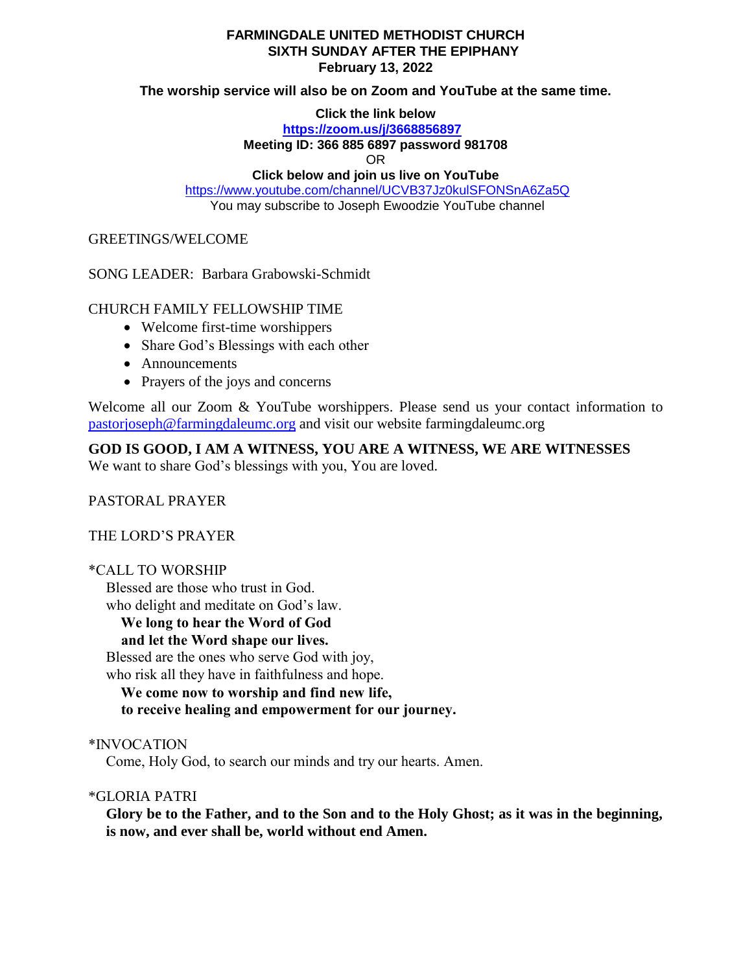### **FARMINGDALE UNITED METHODIST CHURCH SIXTH SUNDAY AFTER THE EPIPHANY February 13, 2022**

**The worship service will also be on Zoom and YouTube at the same time.**

**Click the link below**

**<https://zoom.us/j/3668856897>**

**Meeting ID: 366 885 6897 password 981708**

OR

**Click below and join us live on YouTube** 

<https://www.youtube.com/channel/UCVB37Jz0kulSFONSnA6Za5Q> You may subscribe to Joseph Ewoodzie YouTube channel

GREETINGS/WELCOME

SONG LEADER: Barbara Grabowski-Schmidt

## CHURCH FAMILY FELLOWSHIP TIME

- Welcome first-time worshippers
- Share God's Blessings with each other
- Announcements
- Prayers of the joys and concerns

Welcome all our Zoom & YouTube worshippers. Please send us your contact information to [pastorjoseph@farmingdaleumc.org](mailto:pastorjoseph@farmingdaleumc.org) and visit our website farmingdaleumc.org

**GOD IS GOOD, I AM A WITNESS, YOU ARE A WITNESS, WE ARE WITNESSES**

We want to share God's blessings with you, You are loved.

PASTORAL PRAYER

THE LORD'S PRAYER

## \*CALL TO WORSHIP

Blessed are those who trust in God.

who delight and meditate on God's law.

#### **We long to hear the Word of God and let the Word shape our lives.**

Blessed are the ones who serve God with joy,

who risk all they have in faithfulness and hope.

 **We come now to worship and find new life, to receive healing and empowerment for our journey.**

\*INVOCATION

Come, Holy God, to search our minds and try our hearts. Amen.

\*GLORIA PATRI

**Glory be to the Father, and to the Son and to the Holy Ghost; as it was in the beginning, is now, and ever shall be, world without end Amen.**